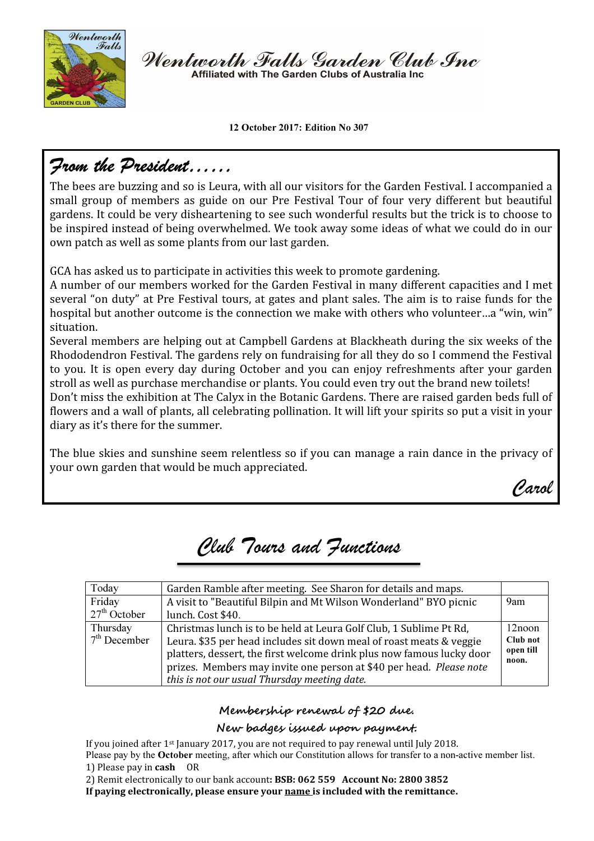

Wentworth Falls Garden Club Inc Affiliated with The Garden Clubs of Australia Inc

12 October 2017: Edition No 307

## From the President……

The bees are buzzing and so is Leura, with all our visitors for the Garden Festival. I accompanied a small group of members as guide on our Pre Festival Tour of four very different but beautiful gardens. It could be very disheartening to see such wonderful results but the trick is to choose to be inspired instead of being overwhelmed. We took away some ideas of what we could do in our own patch as well as some plants from our last garden.

GCA has asked us to participate in activities this week to promote gardening.

A number of our members worked for the Garden Festival in many different capacities and I met several "on duty" at Pre Festival tours, at gates and plant sales. The aim is to raise funds for the hospital but another outcome is the connection we make with others who volunteer...a "win, win" situation.

Several members are helping out at Campbell Gardens at Blackheath during the six weeks of the Rhododendron Festival. The gardens rely on fundraising for all they do so I commend the Festival to you. It is open every day during October and you can enjoy refreshments after your garden stroll as well as purchase merchandise or plants. You could even try out the brand new toilets!

Don't miss the exhibition at The Calyx in the Botanic Gardens. There are raised garden beds full of flowers and a wall of plants, all celebrating pollination. It will lift your spirits so put a visit in your diary as it's there for the summer.

The blue skies and sunshine seem relentless so if you can manage a rain dance in the privacy of your own garden that would be much appreciated.

Carol

# Club Tours and Functions

| Today          | Garden Ramble after meeting. See Sharon for details and maps.         |                    |
|----------------|-----------------------------------------------------------------------|--------------------|
| Friday         | A visit to "Beautiful Bilpin and Mt Wilson Wonderland" BYO picnic     | 9am                |
| $27th$ October | lunch. Cost \$40.                                                     |                    |
| Thursday       | Christmas lunch is to be held at Leura Golf Club, 1 Sublime Pt Rd,    | 12noon             |
| $7th$ December | Leura. \$35 per head includes sit down meal of roast meats & veggie   | Club not           |
|                | platters, dessert, the first welcome drink plus now famous lucky door | open till<br>noon. |
|                | prizes. Members may invite one person at \$40 per head. Please note   |                    |
|                | this is not our usual Thursday meeting date.                          |                    |

### Membership renewal of \$20 due.

### New badges issued upon payment.

If you joined after 1st January 2017, you are not required to pay renewal until July 2018. Please pay by the October meeting, after which our Constitution allows for transfer to a non-active member list. 1) Please pay in cash OR

2) Remit electronically to our bank account: BSB: 062 559 Account No: 2800 3852

If paying electronically, please ensure your name is included with the remittance.